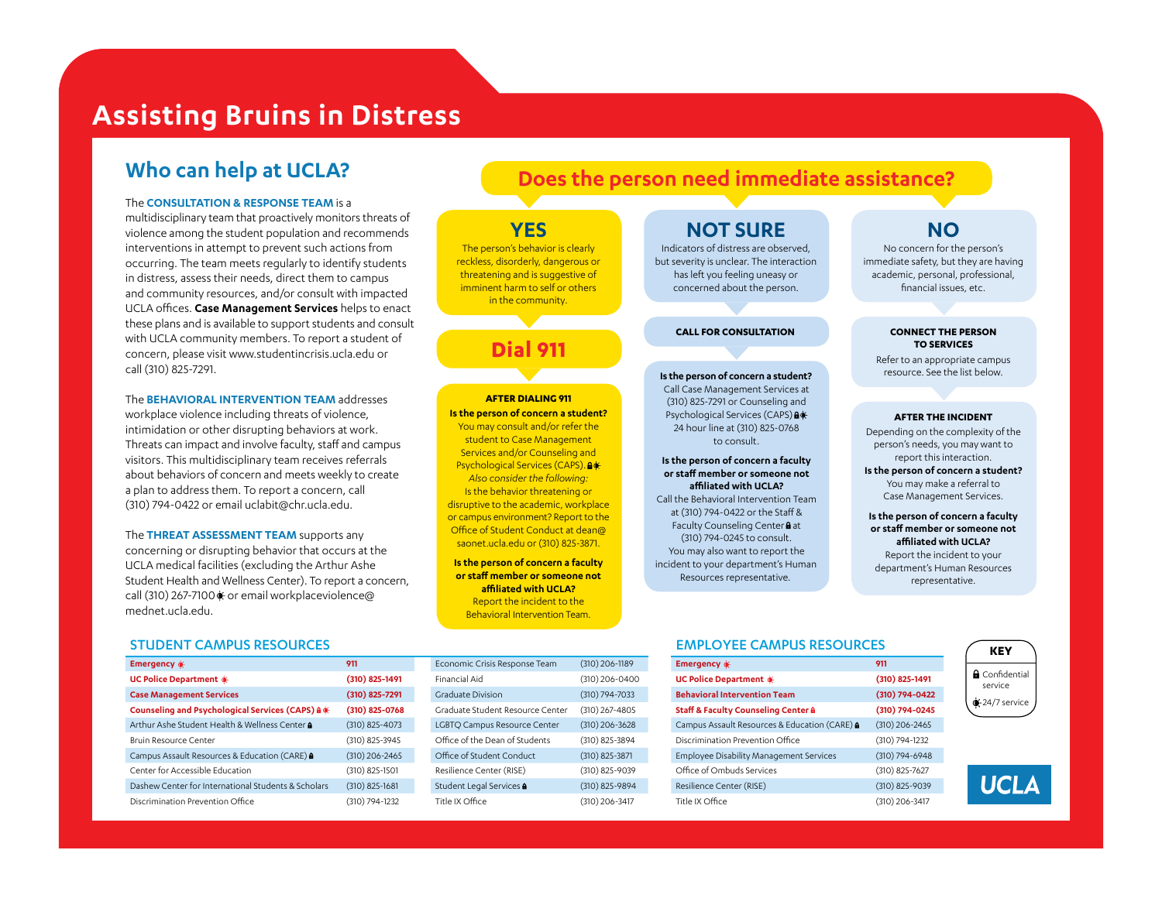# **Assisting Bruins in Distress**

# **Who can help at UCLA?**

#### The **CONSULTATION & RESPONSE TEAM** is a

multidisciplinary team that proactively monitors threats of violence among the student population and recommends interventions in attempt to prevent such actions from occurring. The team meets regularly to identify students in distress, assess their needs, direct them to campus and community resources, and/or consult with impacted UCLA offices. **Case Management Services** helps to enact these plans and is available to support students and consult with UCLA community members. To report a student of concern, please visi[t www.studentincrisis.ucla.edu](www.studentincrisis.ucla.edu) or call (310) 825-7291.

The **BEHAVIORAL INTERVENTION TEAM** addresses workplace violence including threats of violence, intimidation or other disrupting behaviors at work. Threats can impact and involve faculty, staff and campus visitors. This multidisciplinary team receives referrals about behaviors of concern and meets weekly to create a plan to address them. To report a concern, call (310) 794-0422 or [email uclabit@chr.ucla.edu.](email uclabit@chr.ucla.edu)

The **THREAT ASSESSMENT TEAM** supports any concerning or disrupting behavior that occurs at the UCLA medical facilities (excluding the Arthur Ashe Student Health and Wellness Center). To report a concern, call (310) 267-7100 c or email [workplaceviolence@](workplaceviolence@mednet.ucla.edu) mednet.ucla.edu.

#### STUDENT CAMPUS RESOURCES

| Emergency $\oint$                                     | 911                |
|-------------------------------------------------------|--------------------|
| <b>UC Police Department &amp;</b>                     | $(310)$ 825-1491   |
| <b>Case Management Services</b>                       | $(310)$ 825-7291   |
| Counseling and Psychological Services (CAPS) & *      | (310) 825-0768     |
| Arthur Ashe Student Health & Wellness Center <b>A</b> | (310) 825-4073     |
| <b>Bruin Resource Center</b>                          | (310) 825-3945     |
| Campus Assault Resources & Education (CARE) &         | $(310)$ 206-2465   |
| Center for Accessible Education                       | $(310)$ 825-1501   |
| Dashew Center for International Students & Scholars   | $(310) 825 - 1681$ |
| Discrimination Prevention Office                      | $(310) 794 - 1232$ |

# **Does the person need immediate assistance?**

# **YES**

The person's behavior is clearly reckless, disorderly, dangerous or threatening and is suggestive of imminent harm to self or others in the community.

# **Dial 911**

#### **AFTER DIALING 911 Is the person of concern a student?**

You may consult and/or refer the student to Case Management Services and/or Counseling and Psychological Services (CAPS). *Also consider the following:* Is the behavior threatening or disruptive to the academic, workplace or campus environment? Report to the Office of Student Conduct a[t dean@](dean@saonet.ucla.edu) saonet.ucla.edu or (310) 825-3871.

**Is the person of concern a faculty or staff member or someone not <sup>a</sup>ffiliated with UCLA?**  Report the incident to the Behavioral Intervention Team.

| <b>NOT SURE</b> |
|-----------------|
|-----------------|

Indicators of distress are observed, but severity is unclear. The interaction has left you feeling uneasy or concerned about the person.

#### **CALL FOR CONSULTATION**

**Is the person of concern a student?** Call Case Management Services at (310) 825-7291 or Counseling and Psychological Services (CAPS) 24 hour line at (310) 825-0768 to consult.

#### **Is the person of concern a faculty or staff member or someone not <sup>a</sup>ffiliated with UCLA?**  Call the Behavioral Intervention Team at (310) 794-0422 or the Staff & Faculty Counseling Center **a** at (310) 794-0245 to consult. You may also want to report the incident to your department's Human Resources representative.

## **NO**

No concern for the person's immediate safety, but they are having academic, personal, professional, financial issues, etc.

#### **CONNECT THE PERSON TO SERVICES**

Refer to an appropriate campus resource. See the list below.

#### **AFTER THE INCIDENT**

Depending on the complexity of the person's needs, you may want to report this interaction. **Is the person of concern a student?** 

You may make a referral to Case Management Services.

**Is the person of concern a faculty or staff member or someone not <sup>a</sup>ffiliated with UCLA?**  Report the incident to your department's Human Resources representative.

|  | Economic Crisis Response Team    | $(310)$ 206-1189   |
|--|----------------------------------|--------------------|
|  | Financial Aid                    | $(310)$ 206-0400   |
|  | Graduate Division                | $(310) 794 - 7033$ |
|  | Graduate Student Resource Center | $(310)$ 267-4805   |
|  | LGBTQ Campus Resource Center     | $(310)$ 206-3628   |
|  | Office of the Dean of Students   | (310) 825-3894     |
|  | Office of Student Conduct        | (310) 825-3871     |
|  | Resilience Center (RISE)         | (310) 825-9039     |
|  | Student Legal Services <b>a</b>  | (310) 825-9894     |
|  | Title IX Office                  | (310) 206-3417     |
|  |                                  |                    |

#### EMPLOYEE CAMPUS RESOURCES

| Emergency $\oint$                                    | 911                |
|------------------------------------------------------|--------------------|
| <b>UC Police Department &amp;</b>                    | $(310)$ 825-1491   |
| <b>Behavioral Intervention Team</b>                  | $(310) 794 - 0422$ |
| <b>Staff &amp; Faculty Counseling Center &amp;</b>   | $(310) 794 - 0245$ |
| Campus Assault Resources & Education (CARE) <b>a</b> | $(310)$ 206-2465   |
| Discrimination Prevention Office                     | $(310) 794 - 1232$ |
| <b>Employee Disability Management Services</b>       | $(310) 794 - 6948$ |
| Office of Ombuds Services                            | $(310)$ 825-7627   |
| Resilience Center (RISE)                             | (310) 825-9039     |
| Title IX Office                                      | $(310)$ 206-3417   |

# **KEY A** Confidential **KEY<br>
A** Confidential<br>
service<br>  $*(24/7 \text{ service})$

**11.1 CLA**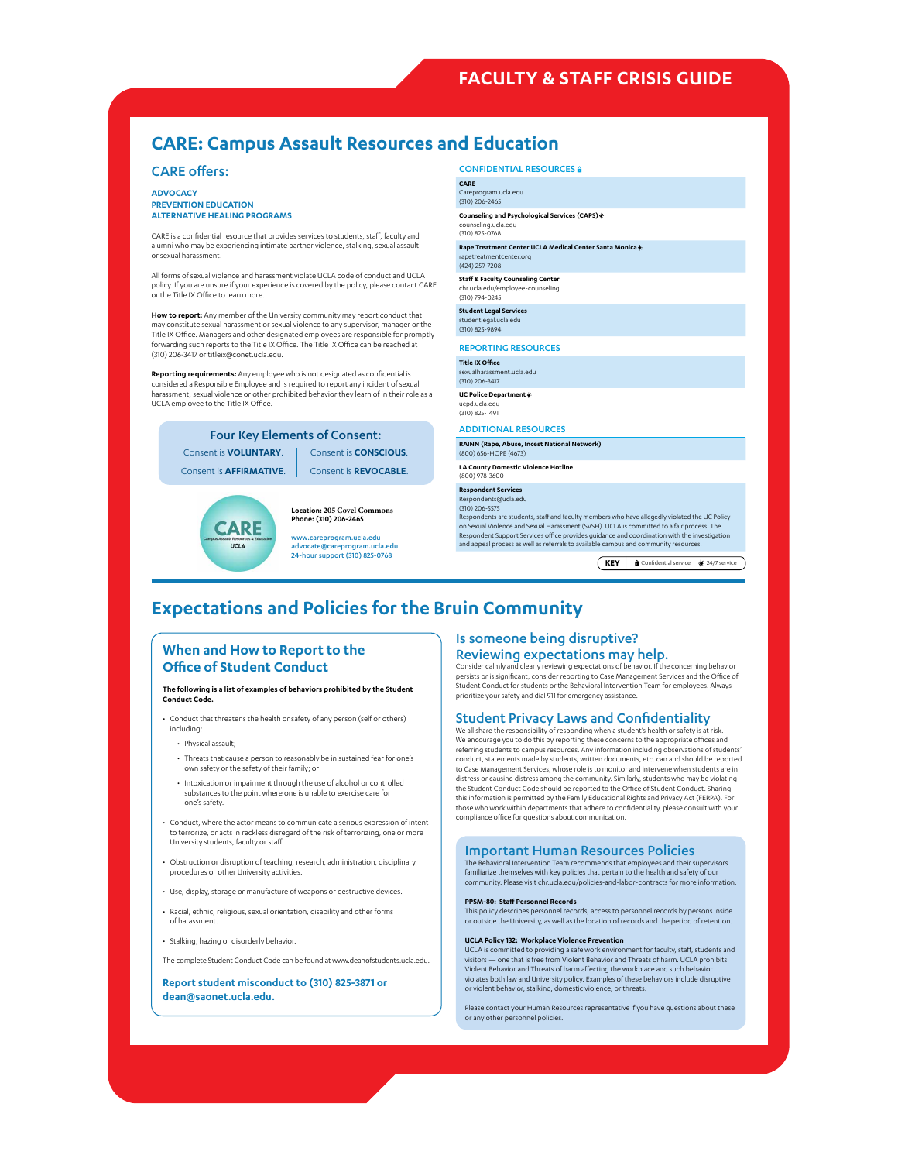## **FACULTY & STAFF CRISIS GUIDE**

## **CARE: Campus Assault Resources and Education**

#### CARE offers:

**ADVOCACY PREVENTION EDUCATION ALTERNATIVE HEALING PROGRAMS**

CARE is a confidential resource that provides services to students, staff, faculty and alumni who may be experiencing intimate partner violence, stalking, sexual assault or sexual harassment.

All forms of sexual violence and harassment violate UCLA code of conduct and UCLA policy. If you are unsure if your experience is covered by the policy, please contact CARE or the Title IX Office to learn more.

**How to report:** Any member of the University community may report conduct that may constitute sexual harassment or sexual violence to any supervisor, manager or the Title IX Office. Managers and other designated employees are responsible for promptly forwarding such reports to the Title IX Office. The Title IX Office can be reached at (310) 206-3417 or [titleix@conet.ucla.edu.](titleix@conet.ucla.edu)

**Reporting requirements:** Any employee who is not designated as confidential is considered a Responsible Employee and is required to report any incident of sexual harassment, sexual violence or other prohibited behavior they learn of in their role as a UCLA employee to the Title IX Office.

| <b>Four Key Elements of Consent:</b> |                               |  |  |
|--------------------------------------|-------------------------------|--|--|
| Consent is <b>VOLUNTARY</b> .        | Consent is <b>CONSCIOUS</b> . |  |  |
| Consent is <b>AFFIRMATIVE</b> .      | Consent is <b>REVOCABLE</b> . |  |  |



**Location: 205 Covel Commons Phone: (310) 206-2465**

<www.careprogram.ucla.edu> <advocate@careprogram.ucla.edu> 24-hour support (310) 825-0768

CONFIDENTIAL RESOURCES & **CARE** <Careprogram.ucla.edu> (310) 206-2465 **Counseling and Psychological Services (CAPS) co**meses<br>edung.u (310) 825-0768 **Rape Treatment Center UCLA Medical Center Santa Monica** <rapetreatmentcenter.org> (424) 259-7208 **Staff & Faculty Counseling Center** <chr.ucla.edu/employee-counseling> (310) 794-0245 **Student Legal Services** <studentlegal.ucla.edu> (310) 825-9894 REPORTING RESOURCES **Title IX Office** ent.ucla.edu (310) 206-3417 **UC Police Department** <ucpd.ucla.edu> (310) 825-1491 ADDITIONAL RESOURCES **RAINN (Rape, Abuse, Incest National Network)** (800) 656-HOPE (4673) **LA County Domestic Violence Hotline** (800) 978-3600 **Respondent Services** <Respondents@ucla.edu> (310) 206-5575 Respondents are students, staff and faculty members who have allegedly violated the UC Policy on Sexual Violence and Sexual Harassment (SVSH). UCLA is committed to a fair process. The Respondent Support Services office provides guidance and coordination with the investigation and appeal process as well as referrals to available campus and community resources. **KEY A** Confidential service  $\frac{1}{24}{7}$  service

## **Expectations and Policies for the Bruin Community**

### **When and How to Report to the Office of Student Conduct**

**The following is a list of examples of behaviors prohibited by the Student Conduct Code.**

• Conduct that threatens the health or safety of any person (self or others) including:

• Physical assault;

- Threats that cause a person to reasonably be in sustained fear for one's own safety or the safety of their family; or
- Intoxication or impairment through the use of alcohol or controlled substances to the point where one is unable to exercise care for one's safety.
- Conduct, where the actor means to communicate a serious expression of intent to terrorize, or acts in reckless disregard of the risk of terrorizing, one or more University students, faculty or staff.
- Obstruction or disruption of teaching, research, administration, disciplinary procedures or other University activities.
- Use, display, storage or manufacture of weapons or destructive devices.
- Racial, ethnic, religious, sexual orientation, disability and other forms of harassment.
- Stalking, hazing or disorderly behavior.

The complete Student Conduct Code can be found at [www.deanofstudents.ucla.edu.](www.deanofstudents.ucla.edu)

**Report student misconduct to (310) 825-3871 or [dean@saonet.ucla.edu.](dean@saonet.ucla.edu)**

### Is someone being disruptive? Reviewing expectations may help.

Consider calmly and clearly reviewing expectations of behavior. If the concerning behavior persists or is significant, consider reporting to Case Management Services and the Office of Student Conduct for students or the Behavioral Intervention Team for employees. Always prioritize your safety and dial 911 for emergency assistance.

#### Student Privacy Laws and Confidentiality

We all share the responsibility of responding when a student's health or safety is at risk. We encourage you to do this by reporting these concerns to the appropriate offices and referring students to campus resources. Any information including observations of students' conduct, statements made by students, written documents, etc. can and should be reported to Case Management Services, whose role is to monitor and intervene when students are in distress or causing distress among the community. Similarly, students who may be violating the Student Conduct Code should be reported to the Office of Student Conduct. Sharing this information is permitted by the Family Educational Rights and Privacy Act (FERPA). For those who work within departments that adhere to confidentiality, please consult with your compliance office for questions about communication.

#### Important Human Resources Policies

The Behavioral Intervention Team recommends that employees and their supervisors familiarize themselves with key policies that pertain to the health and safety of our community. Please visit [chr.ucla.edu/policies-and-labor-contracts f](chr.ucla.edu/policies-and-labor-contracts)or more information.

#### **PPSM-80: Staff [Personnel Records](https://www.policy.ucop.edu/doc/4010419/PPSM-80)**

This policy describes personnel records, access to personnel records by persons inside or outside the University, as well as the location of records and the period of retention.

#### **[UCLA Policy 132: Workplace Violence Prevention](http://www.adminpolicies.ucla.edu/APP/Number/132)**

UCLA is committed to providing a safe work environment for faculty, staff, students and visitors — one that is free from Violent Behavior and Threats of harm. UCLA prohibits Visitors The that is nee non-violent Behavior and Threats of harm. Gess<br>Violent Behavior and Threats of harm affecting the workplace and such beh violates both law and University policy. Examples of these behaviors include disruptive or violent behavior, stalking, domestic violence, or threats.

Please contact your Human Resources representative if you have questions about these or any other personnel policies.